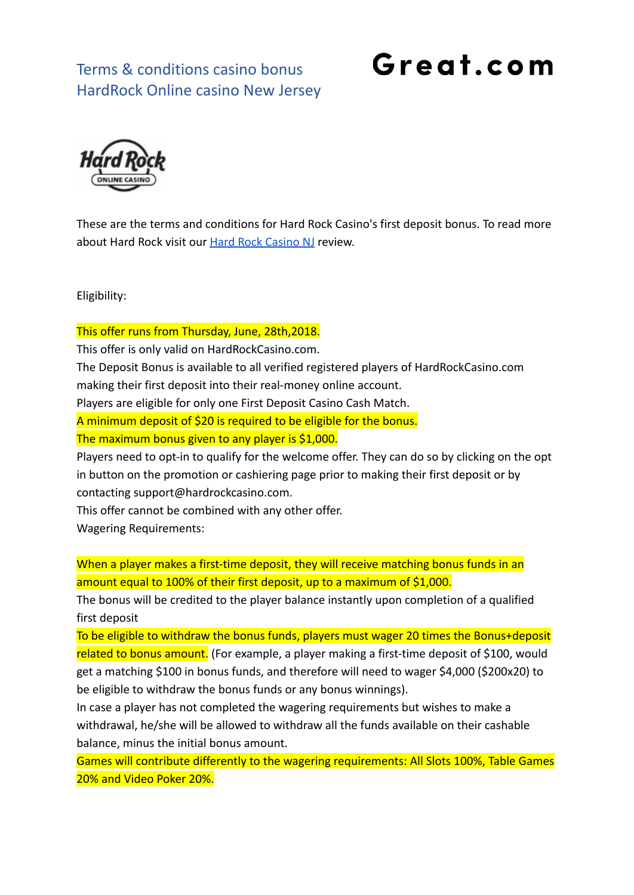#### Terms & conditions casino bonus HardRock Online casino New Jersey

# Great.com



These are the terms and conditions for Hard Rock Casino's first deposit bonus. To read more about Hard Rock visit our [Hard Rock Casino NJ](https://great.com/en-us/online-casino/hard-rock-online-casino-nj/) review.

Eligibility:

This offer runs from Thursday, June, 28th,2018.

This offer is only valid on HardRockCasino.com.

The Deposit Bonus is available to all verified registered players of HardRockCasino.com making their first deposit into their real-money online account.

Players are eligible for only one First Deposit Casino Cash Match.

A minimum deposit of \$20 is required to be eligible for the bonus.

The maximum bonus given to any player is \$1,000.

Players need to opt-in to qualify for the welcome offer. They can do so by clicking on the opt in button on the promotion or cashiering page prior to making their first deposit or by contacting support@hardrockcasino.com.

This offer cannot be combined with any other offer.

Wagering Requirements:

When a player makes a first-time deposit, they will receive matching bonus funds in an amount equal to 100% of their first deposit, up to a maximum of \$1,000.

The bonus will be credited to the player balance instantly upon completion of a qualified first deposit

To be eligible to withdraw the bonus funds, players must wager 20 times the Bonus+deposit related to bonus amount. (For example, a player making a first-time deposit of \$100, would get a matching \$100 in bonus funds, and therefore will need to wager \$4,000 (\$200x20) to be eligible to withdraw the bonus funds or any bonus winnings).

In case a player has not completed the wagering requirements but wishes to make a withdrawal, he/she will be allowed to withdraw all the funds available on their cashable balance, minus the initial bonus amount.

Games will contribute differently to the wagering requirements: All Slots 100%, Table Games 20% and Video Poker 20%.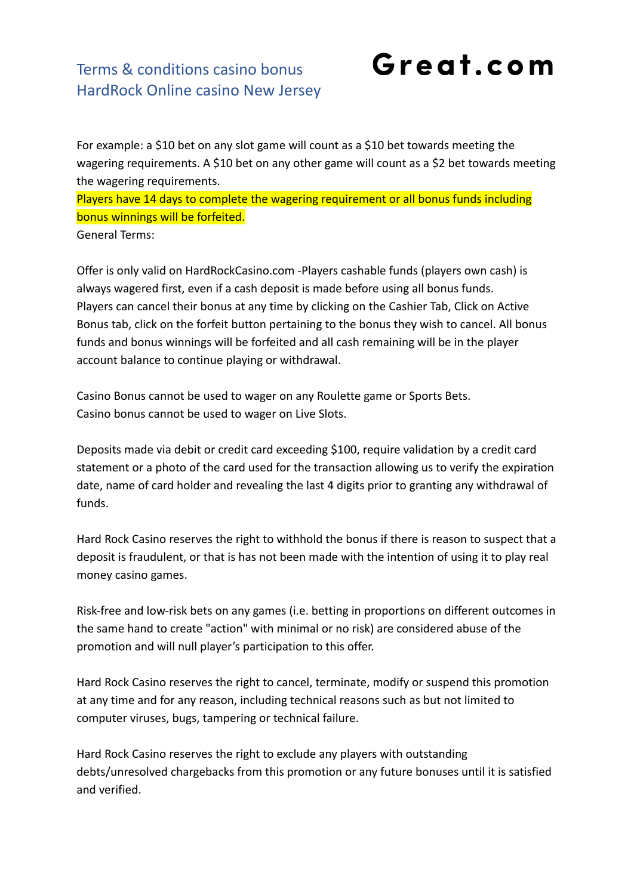#### Terms & conditions casino bonus HardRock Online casino New Jersey

For example: a \$10 bet on any slot game will count as a \$10 bet towards meeting the wagering requirements. A \$10 bet on any other game will count as a \$2 bet towards meeting the wagering requirements.

Great.com

Players have 14 days to complete the wagering requirement or all bonus funds including bonus winnings will be forfeited.

General Terms:

Offer is only valid on HardRockCasino.com -Players cashable funds (players own cash) is always wagered first, even if a cash deposit is made before using all bonus funds. Players can cancel their bonus at any time by clicking on the Cashier Tab, Click on Active Bonus tab, click on the forfeit button pertaining to the bonus they wish to cancel. All bonus funds and bonus winnings will be forfeited and all cash remaining will be in the player account balance to continue playing or withdrawal.

Casino Bonus cannot be used to wager on any Roulette game or Sports Bets. Casino bonus cannot be used to wager on Live Slots.

Deposits made via debit or credit card exceeding \$100, require validation by a credit card statement or a photo of the card used for the transaction allowing us to verify the expiration date, name of card holder and revealing the last 4 digits prior to granting any withdrawal of funds.

Hard Rock Casino reserves the right to withhold the bonus if there is reason to suspect that a deposit is fraudulent, or that is has not been made with the intention of using it to play real money casino games.

Risk-free and low-risk bets on any games (i.e. betting in proportions on different outcomes in the same hand to create "action" with minimal or no risk) are considered abuse of the promotion and will null player's participation to this offer.

Hard Rock Casino reserves the right to cancel, terminate, modify or suspend this promotion at any time and for any reason, including technical reasons such as but not limited to computer viruses, bugs, tampering or technical failure.

Hard Rock Casino reserves the right to exclude any players with outstanding debts/unresolved chargebacks from this promotion or any future bonuses until it is satisfied and verified.